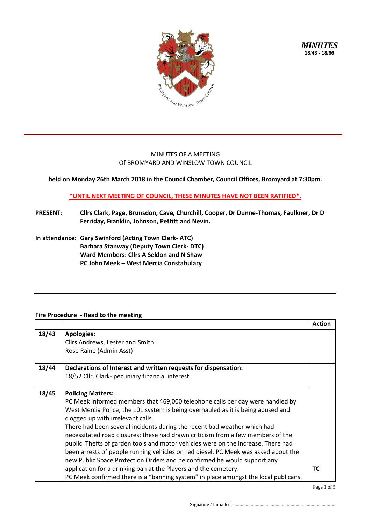

*MINUTES* **18/43 - 18/66**

## MINUTES OF A MEETING Of BROMYARD AND WINSLOW TOWN COUNCIL

**held on Monday 26th March 2018 in the Council Chamber, Council Offices, Bromyard at 7:30pm.**

## **\*UNTIL NEXT MEETING OF COUNCIL, THESE MINUTES HAVE NOT BEEN RATIFIED\*.**

- **PRESENT: Cllrs Clark, Page, Brunsdon, Cave, Churchill, Cooper, Dr Dunne-Thomas, Faulkner, Dr D Ferriday, Franklin, Johnson, Pettitt and Nevin.**
- **In attendance: Gary Swinford (Acting Town Clerk- ATC) Barbara Stanway (Deputy Town Clerk- DTC) Ward Members: Cllrs A Seldon and N Shaw PC John Meek – West Mercia Constabulary**

## **Fire Procedure - Read to the meeting**

|       |                                                                                     | <b>Action</b> |
|-------|-------------------------------------------------------------------------------------|---------------|
| 18/43 | <b>Apologies:</b><br>Cllrs Andrews, Lester and Smith.                               |               |
|       | Rose Raine (Admin Asst)                                                             |               |
|       |                                                                                     |               |
| 18/44 | Declarations of Interest and written requests for dispensation:                     |               |
|       | 18/52 Cllr. Clark- pecuniary financial interest                                     |               |
|       |                                                                                     |               |
| 18/45 | <b>Policing Matters:</b>                                                            |               |
|       | PC Meek informed members that 469,000 telephone calls per day were handled by       |               |
|       | West Mercia Police; the 101 system is being overhauled as it is being abused and    |               |
|       | clogged up with irrelevant calls.                                                   |               |
|       | There had been several incidents during the recent bad weather which had            |               |
|       | necessitated road closures; these had drawn criticism from a few members of the     |               |
|       | public. Thefts of garden tools and motor vehicles were on the increase. There had   |               |
|       | been arrests of people running vehicles on red diesel. PC Meek was asked about the  |               |
|       | new Public Space Protection Orders and he confirmed he would support any            |               |
|       | application for a drinking ban at the Players and the cemetery.                     | <b>TC</b>     |
|       | PC Meek confirmed there is a "banning system" in place amongst the local publicans. |               |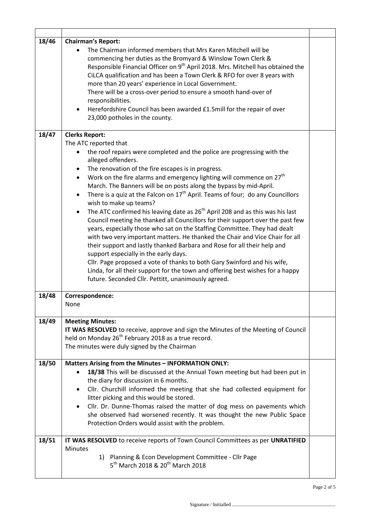| 18/46 | <b>Chairman's Report:</b><br>The Chairman informed members that Mrs Karen Mitchell will be<br>commencing her duties as the Bromyard & Winslow Town Clerk &<br>Responsible Financial Officer on 9 <sup>th</sup> April 2018. Mrs. Mitchell has obtained the<br>CiLCA qualification and has been a Town Clerk & RFO for over 8 years with<br>more than 20 years' experience in Local Government.<br>There will be a cross-over period to ensure a smooth hand-over of<br>responsibilities.<br>Herefordshire Council has been awarded £1.5mill for the repair of over<br>23,000 potholes in the county.                                                                                                                                                                                                                                                                                                                                                                                                                                                                                                                                                                                 |  |  |
|-------|-------------------------------------------------------------------------------------------------------------------------------------------------------------------------------------------------------------------------------------------------------------------------------------------------------------------------------------------------------------------------------------------------------------------------------------------------------------------------------------------------------------------------------------------------------------------------------------------------------------------------------------------------------------------------------------------------------------------------------------------------------------------------------------------------------------------------------------------------------------------------------------------------------------------------------------------------------------------------------------------------------------------------------------------------------------------------------------------------------------------------------------------------------------------------------------|--|--|
| 18/47 | <b>Clerks Report:</b><br>The ATC reported that<br>the roof repairs were completed and the police are progressing with the<br>alleged offenders.<br>The renovation of the fire escapes is in progress.<br>Work on the fire alarms and emergency lighting will commence on 27 <sup>th</sup><br>$\bullet$<br>March. The Banners will be on posts along the bypass by mid-April.<br>There is a quiz at the Falcon on $17^{th}$ April. Teams of four; do any Councillors<br>wish to make up teams?<br>The ATC confirmed his leaving date as 26 <sup>th</sup> April 208 and as this was his last<br>Council meeting he thanked all Councillors for their support over the past few<br>years, especially those who sat on the Staffing Committee. They had dealt<br>with two very important matters. He thanked the Chair and Vice Chair for all<br>their support and lastly thanked Barbara and Rose for all their help and<br>support especially in the early days.<br>Cllr. Page proposed a vote of thanks to both Gary Swinford and his wife,<br>Linda, for all their support for the town and offering best wishes for a happy<br>future. Seconded Cllr. Pettitt, unanimously agreed. |  |  |
| 18/48 | Correspondence:<br>None                                                                                                                                                                                                                                                                                                                                                                                                                                                                                                                                                                                                                                                                                                                                                                                                                                                                                                                                                                                                                                                                                                                                                             |  |  |
| 18/49 | <b>Meeting Minutes:</b><br>IT WAS RESOLVED to receive, approve and sign the Minutes of the Meeting of Council<br>held on Monday 26 <sup>th</sup> February 2018 as a true record.<br>The minutes were duly signed by the Chairman                                                                                                                                                                                                                                                                                                                                                                                                                                                                                                                                                                                                                                                                                                                                                                                                                                                                                                                                                    |  |  |
| 18/50 | Matters Arising from the Minutes - INFORMATION ONLY:<br>18/38 This will be discussed at the Annual Town meeting but had been put in<br>the diary for discussion in 6 months.<br>Cllr. Churchill informed the meeting that she had collected equipment for<br>litter picking and this would be stored.<br>Cllr. Dr. Dunne-Thomas raised the matter of dog mess on pavements which<br>she observed had worsened recently. It was thought the new Public Space<br>Protection Orders would assist with the problem.                                                                                                                                                                                                                                                                                                                                                                                                                                                                                                                                                                                                                                                                     |  |  |
| 18/51 | IT WAS RESOLVED to receive reports of Town Council Committees as per UNRATIFIED<br><b>Minutes</b><br>1) Planning & Econ Development Committee - Cllr Page<br>5 <sup>th</sup> March 2018 & 20 <sup>th</sup> March 2018                                                                                                                                                                                                                                                                                                                                                                                                                                                                                                                                                                                                                                                                                                                                                                                                                                                                                                                                                               |  |  |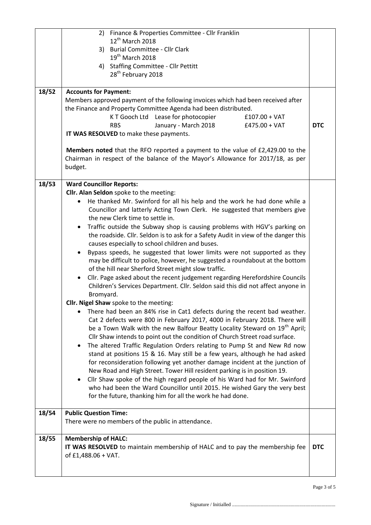|       | 2) Finance & Properties Committee - Cllr Franklin                                                                                                                                   |            |  |  |  |  |
|-------|-------------------------------------------------------------------------------------------------------------------------------------------------------------------------------------|------------|--|--|--|--|
|       | $12^{th}$ March 2018                                                                                                                                                                |            |  |  |  |  |
|       | 3) Burial Committee - Cllr Clark                                                                                                                                                    |            |  |  |  |  |
|       | $19th$ March 2018                                                                                                                                                                   |            |  |  |  |  |
|       | 4) Staffing Committee - Cllr Pettitt                                                                                                                                                |            |  |  |  |  |
|       | 28 <sup>th</sup> February 2018                                                                                                                                                      |            |  |  |  |  |
| 18/52 | <b>Accounts for Payment:</b>                                                                                                                                                        |            |  |  |  |  |
|       | Members approved payment of the following invoices which had been received after                                                                                                    |            |  |  |  |  |
|       | the Finance and Property Committee Agenda had been distributed.                                                                                                                     |            |  |  |  |  |
|       | K T Gooch Ltd Lease for photocopier<br>$£107.00 + VAT$                                                                                                                              |            |  |  |  |  |
|       | January - March 2018<br>$£475.00 + VAT$<br><b>RBS</b>                                                                                                                               | <b>DTC</b> |  |  |  |  |
|       | IT WAS RESOLVED to make these payments.                                                                                                                                             |            |  |  |  |  |
|       | <b>Members noted</b> that the RFO reported a payment to the value of £2,429.00 to the<br>Chairman in respect of the balance of the Mayor's Allowance for 2017/18, as per<br>budget. |            |  |  |  |  |
| 18/53 | <b>Ward Councillor Reports:</b>                                                                                                                                                     |            |  |  |  |  |
|       | Cllr. Alan Seldon spoke to the meeting:                                                                                                                                             |            |  |  |  |  |
|       | He thanked Mr. Swinford for all his help and the work he had done while a                                                                                                           |            |  |  |  |  |
|       | Councillor and latterly Acting Town Clerk. He suggested that members give                                                                                                           |            |  |  |  |  |
|       | the new Clerk time to settle in.                                                                                                                                                    |            |  |  |  |  |
|       | Traffic outside the Subway shop is causing problems with HGV's parking on                                                                                                           |            |  |  |  |  |
|       | the roadside. Cllr. Seldon is to ask for a Safety Audit in view of the danger this                                                                                                  |            |  |  |  |  |
|       | causes especially to school children and buses.<br>Bypass speeds, he suggested that lower limits were not supported as they                                                         |            |  |  |  |  |
|       | may be difficult to police, however, he suggested a roundabout at the bottom                                                                                                        |            |  |  |  |  |
|       | of the hill near Sherford Street might slow traffic.                                                                                                                                |            |  |  |  |  |
|       | Cllr. Page asked about the recent judgement regarding Herefordshire Councils<br>$\bullet$                                                                                           |            |  |  |  |  |
|       | Children's Services Department. Cllr. Seldon said this did not affect anyone in                                                                                                     |            |  |  |  |  |
|       | Bromyard.<br>Cllr. Nigel Shaw spoke to the meeting:                                                                                                                                 |            |  |  |  |  |
|       | There had been an 84% rise in Cat1 defects during the recent bad weather.                                                                                                           |            |  |  |  |  |
|       | Cat 2 defects were 800 in February 2017, 4000 in February 2018. There will                                                                                                          |            |  |  |  |  |
|       | be a Town Walk with the new Balfour Beatty Locality Steward on 19 <sup>th</sup> April;                                                                                              |            |  |  |  |  |
|       | Cllr Shaw intends to point out the condition of Church Street road surface.                                                                                                         |            |  |  |  |  |
|       | The altered Traffic Regulation Orders relating to Pump St and New Rd now<br>$\bullet$                                                                                               |            |  |  |  |  |
|       | stand at positions 15 & 16. May still be a few years, although he had asked                                                                                                         |            |  |  |  |  |
|       | for reconsideration following yet another damage incident at the junction of                                                                                                        |            |  |  |  |  |
|       | New Road and High Street. Tower Hill resident parking is in position 19.                                                                                                            |            |  |  |  |  |
|       | Cllr Shaw spoke of the high regard people of his Ward had for Mr. Swinford<br>who had been the Ward Councillor until 2015. He wished Gary the very best                             |            |  |  |  |  |
|       | for the future, thanking him for all the work he had done.                                                                                                                          |            |  |  |  |  |
|       |                                                                                                                                                                                     |            |  |  |  |  |
| 18/54 | <b>Public Question Time:</b>                                                                                                                                                        |            |  |  |  |  |
|       | There were no members of the public in attendance.                                                                                                                                  |            |  |  |  |  |
| 18/55 | <b>Membership of HALC:</b>                                                                                                                                                          |            |  |  |  |  |
|       | IT WAS RESOLVED to maintain membership of HALC and to pay the membership fee                                                                                                        | <b>DTC</b> |  |  |  |  |
|       | of £1,488.06 + VAT.                                                                                                                                                                 |            |  |  |  |  |
|       |                                                                                                                                                                                     |            |  |  |  |  |
|       |                                                                                                                                                                                     |            |  |  |  |  |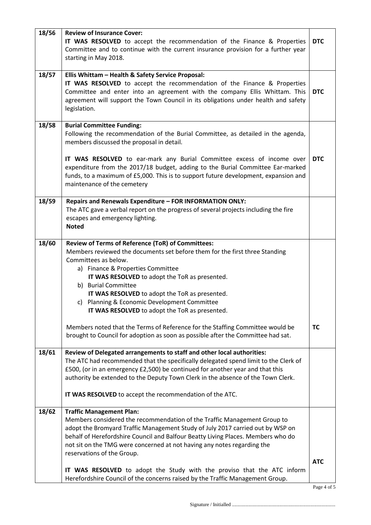| 18/56 | <b>Review of Insurance Cover:</b>                                                                                                                                     |            |  |  |  |
|-------|-----------------------------------------------------------------------------------------------------------------------------------------------------------------------|------------|--|--|--|
|       | IT WAS RESOLVED to accept the recommendation of the Finance & Properties<br><b>DTC</b>                                                                                |            |  |  |  |
|       | Committee and to continue with the current insurance provision for a further year                                                                                     |            |  |  |  |
|       | starting in May 2018.                                                                                                                                                 |            |  |  |  |
|       |                                                                                                                                                                       |            |  |  |  |
| 18/57 | Ellis Whittam - Health & Safety Service Proposal:                                                                                                                     |            |  |  |  |
|       | IT WAS RESOLVED to accept the recommendation of the Finance & Properties                                                                                              |            |  |  |  |
|       | Committee and enter into an agreement with the company Ellis Whittam. This                                                                                            | <b>DTC</b> |  |  |  |
|       | agreement will support the Town Council in its obligations under health and safety                                                                                    |            |  |  |  |
|       | legislation.                                                                                                                                                          |            |  |  |  |
|       |                                                                                                                                                                       |            |  |  |  |
| 18/58 | <b>Burial Committee Funding:</b>                                                                                                                                      |            |  |  |  |
|       | Following the recommendation of the Burial Committee, as detailed in the agenda,                                                                                      |            |  |  |  |
|       | members discussed the proposal in detail.                                                                                                                             |            |  |  |  |
|       |                                                                                                                                                                       | <b>DTC</b> |  |  |  |
|       | IT WAS RESOLVED to ear-mark any Burial Committee excess of income over                                                                                                |            |  |  |  |
|       | expenditure from the 2017/18 budget, adding to the Burial Committee Ear-marked<br>funds, to a maximum of £5,000. This is to support future development, expansion and |            |  |  |  |
|       | maintenance of the cemetery                                                                                                                                           |            |  |  |  |
|       |                                                                                                                                                                       |            |  |  |  |
| 18/59 | Repairs and Renewals Expenditure - FOR INFORMATION ONLY:                                                                                                              |            |  |  |  |
|       | The ATC gave a verbal report on the progress of several projects including the fire                                                                                   |            |  |  |  |
|       | escapes and emergency lighting.                                                                                                                                       |            |  |  |  |
|       | <b>Noted</b>                                                                                                                                                          |            |  |  |  |
|       |                                                                                                                                                                       |            |  |  |  |
| 18/60 | Review of Terms of Reference (ToR) of Committees:                                                                                                                     |            |  |  |  |
|       | Members reviewed the documents set before them for the first three Standing                                                                                           |            |  |  |  |
|       | Committees as below.                                                                                                                                                  |            |  |  |  |
|       | a) Finance & Properties Committee                                                                                                                                     |            |  |  |  |
|       | IT WAS RESOLVED to adopt the ToR as presented.                                                                                                                        |            |  |  |  |
|       | b) Burial Committee                                                                                                                                                   |            |  |  |  |
|       | IT WAS RESOLVED to adopt the ToR as presented.<br>c) Planning & Economic Development Committee                                                                        |            |  |  |  |
|       | IT WAS RESOLVED to adopt the ToR as presented.                                                                                                                        |            |  |  |  |
|       |                                                                                                                                                                       |            |  |  |  |
|       | Members noted that the Terms of Reference for the Staffing Committee would be                                                                                         | <b>TC</b>  |  |  |  |
|       | brought to Council for adoption as soon as possible after the Committee had sat.                                                                                      |            |  |  |  |
|       |                                                                                                                                                                       |            |  |  |  |
| 18/61 | Review of Delegated arrangements to staff and other local authorities:                                                                                                |            |  |  |  |
|       | The ATC had recommended that the specifically delegated spend limit to the Clerk of                                                                                   |            |  |  |  |
|       | £500, (or in an emergency £2,500) be continued for another year and that this                                                                                         |            |  |  |  |
|       | authority be extended to the Deputy Town Clerk in the absence of the Town Clerk.                                                                                      |            |  |  |  |
|       |                                                                                                                                                                       |            |  |  |  |
|       | IT WAS RESOLVED to accept the recommendation of the ATC.                                                                                                              |            |  |  |  |
| 18/62 | <b>Traffic Management Plan:</b>                                                                                                                                       |            |  |  |  |
|       | Members considered the recommendation of the Traffic Management Group to                                                                                              |            |  |  |  |
|       | adopt the Bromyard Traffic Management Study of July 2017 carried out by WSP on                                                                                        |            |  |  |  |
|       | behalf of Herefordshire Council and Balfour Beatty Living Places. Members who do                                                                                      |            |  |  |  |
|       | not sit on the TMG were concerned at not having any notes regarding the                                                                                               |            |  |  |  |
|       | reservations of the Group.                                                                                                                                            |            |  |  |  |
|       |                                                                                                                                                                       | <b>ATC</b> |  |  |  |
|       | IT WAS RESOLVED to adopt the Study with the proviso that the ATC inform                                                                                               |            |  |  |  |
|       | Herefordshire Council of the concerns raised by the Traffic Management Group.                                                                                         |            |  |  |  |